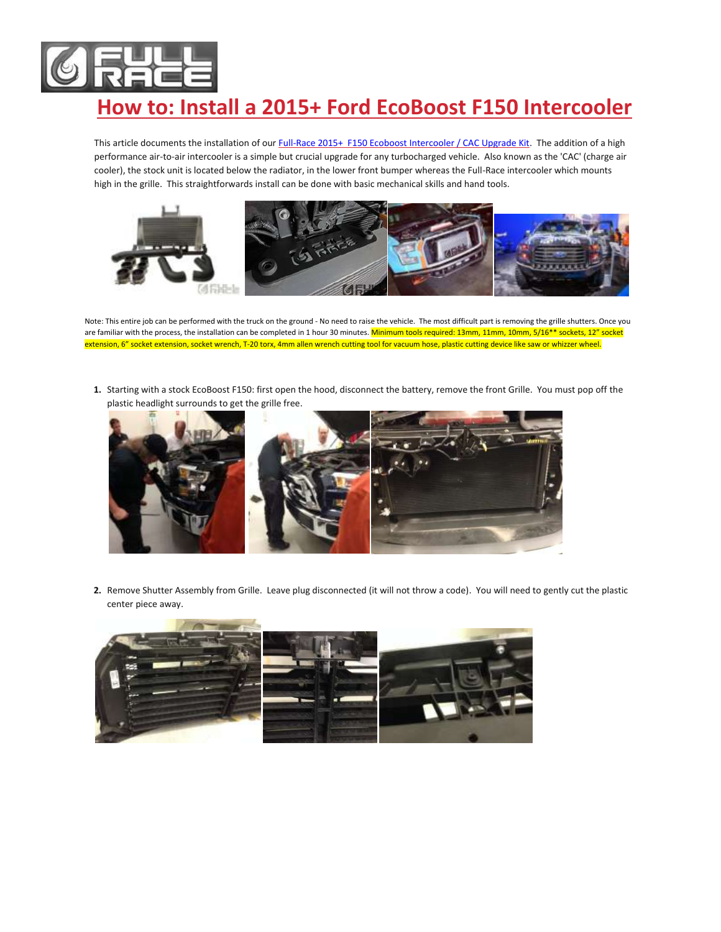

## **How to: Install a 2015+ Ford EcoBoost F150 Intercooler**

This article documents the installation of ou[r Full-Race 2015+ F150 Ecoboost Intercooler / CAC Upgrade Kit.](http://www.full-race.com/store/ecoboost/2015-f-150-ecoboost-freakoboost-intercooler-cac-upgrade-kit-2.html) The addition of a high performance air-to-air intercooler is a simple but crucial upgrade for any turbocharged vehicle. Also known as the 'CAC' (charge air cooler), the stock unit is located below the radiator, in the lower front bumper whereas the Full-Race intercooler which mounts high in the grille. This straightforwards install can be done with basic mechanical skills and hand tools.



Note: This entire job can be performed with the truck on the ground - No need to raise the vehicle. The most difficult part is removing the grille shutters. Once you are familiar with the process, the installation can be completed in 1 hour 30 minutes. Minimum tools required: 13mm, 11mm, 10mm, 5/16<sup>\*\*</sup> sockets, 12" socket extension, 6" socket extension, socket wrench, T-20 torx, 4mm allen wrench cutting tool for vacuum hose, plastic cutting device like saw or whizzer wheel.

**1.** Starting with a stock EcoBoost F150: first open the hood, disconnect the battery, remove the front Grille. You must pop off the plastic headlight surrounds to get the grille free.



**2.** Remove Shutter Assembly from Grille. Leave plug disconnected (it will not throw a code). You will need to gently cut the plastic center piece away.

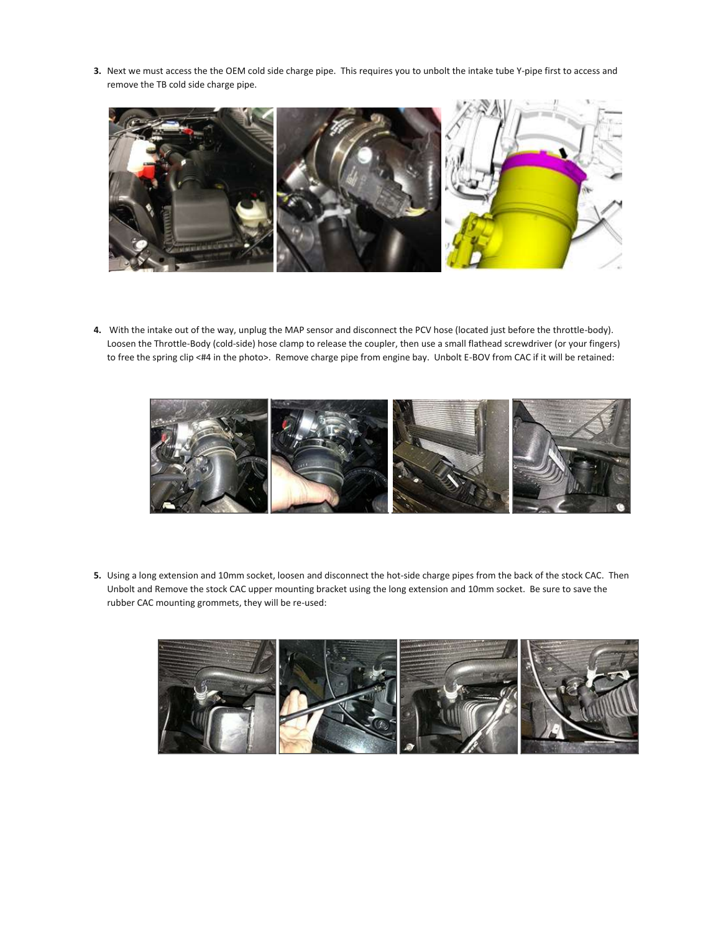**3.** Next we must access the the OEM cold side charge pipe. This requires you to unbolt the intake tube Y-pipe first to access and remove the TB cold side charge pipe.



**4.** With the intake out of the way, unplug the MAP sensor and disconnect the PCV hose (located just before the throttle-body). Loosen the Throttle-Body (cold-side) hose clamp to release the coupler, then use a small flathead screwdriver (or your fingers) to free the spring clip <#4 in the photo>. Remove charge pipe from engine bay. Unbolt E-BOV from CAC if it will be retained:



**5.** Using a long extension and 10mm socket, loosen and disconnect the hot-side charge pipes from the back of the stock CAC. Then Unbolt and Remove the stock CAC upper mounting bracket using the long extension and 10mm socket. Be sure to save the rubber CAC mounting grommets, they will be re-used:

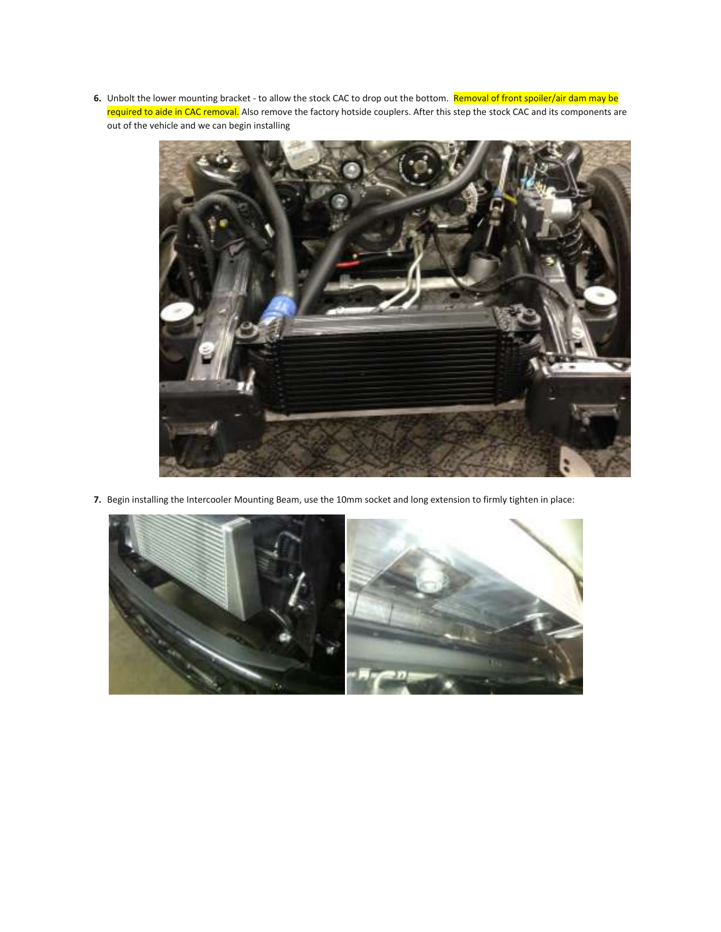**6.** Unbolt the lower mounting bracket - to allow the stock CAC to drop out the bottom. Removal of front spoiler/air dam may be required to aide in CAC removal. Also remove the factory hotside couplers. After this step the stock CAC and its components are out of the vehicle and we can begin installing



**7.** Begin installing the Intercooler Mounting Beam, use the 10mm socket and long extension to firmly tighten in place:

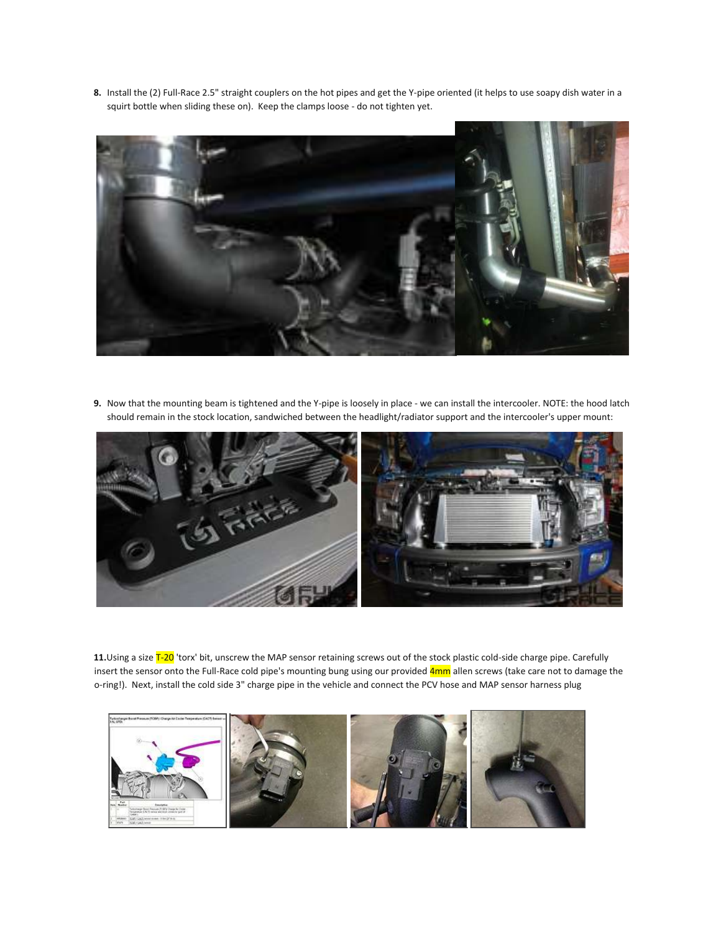**8.** Install the (2) Full-Race 2.5" straight couplers on the hot pipes and get the Y-pipe oriented (it helps to use soapy dish water in a squirt bottle when sliding these on). Keep the clamps loose - do not tighten yet.



**9.** Now that the mounting beam is tightened and the Y-pipe is loosely in place - we can install the intercooler. NOTE: the hood latch should remain in the stock location, sandwiched between the headlight/radiator support and the intercooler's upper mount:



**11.**Using a size T-20 'torx' bit, unscrew the MAP sensor retaining screws out of the stock plastic cold-side charge pipe. Carefully insert the sensor onto the Full-Race cold pipe's mounting bung using our provided 4mm allen screws (take care not to damage the o-ring!). Next, install the cold side 3" charge pipe in the vehicle and connect the PCV hose and MAP sensor harness plug

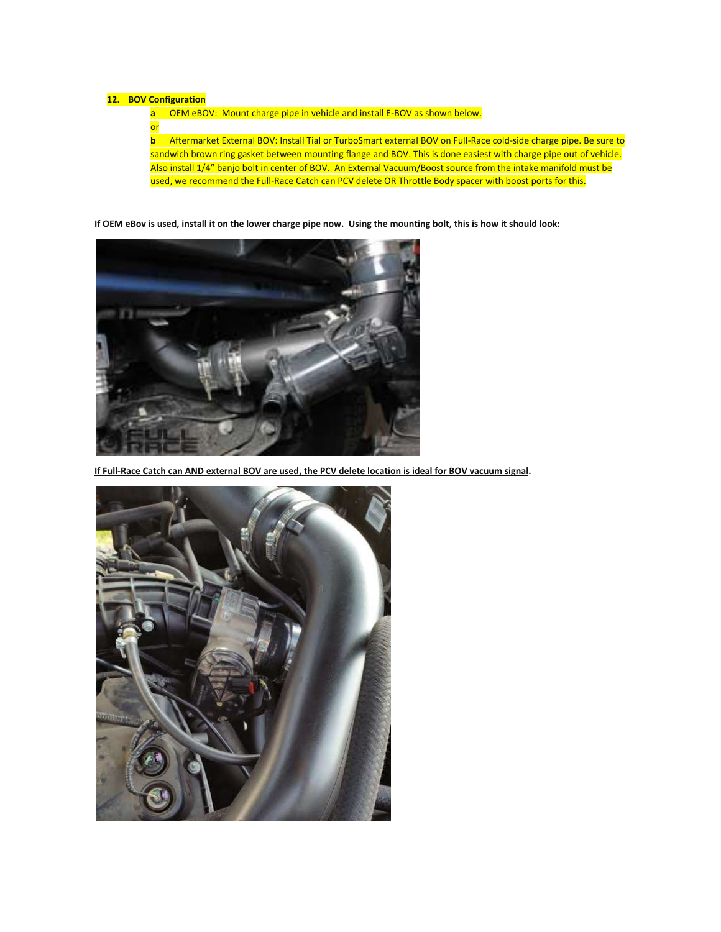## **12. BOV Configuration**

**a** OEM eBOV: Mount charge pipe in vehicle and install E-BOV as shown below.

**or** 

**b** Aftermarket External BOV: Install Tial or TurboSmart external BOV on Full-Race cold-side charge pipe. Be sure to sandwich brown ring gasket between mounting flange and BOV. This is done easiest with charge pipe out of vehicle. Also install 1/4" banjo bolt in center of BOV. An External Vacuum/Boost source from the intake manifold must be used, we recommend the Full-Race Catch can PCV delete OR Throttle Body spacer with boost ports for this.

**If OEM eBov is used, install it on the lower charge pipe now. Using the mounting bolt, this is how it should look:**



**If Full-Race Catch can AND external BOV are used, the PCV delete location is ideal for BOV vacuum signal.**